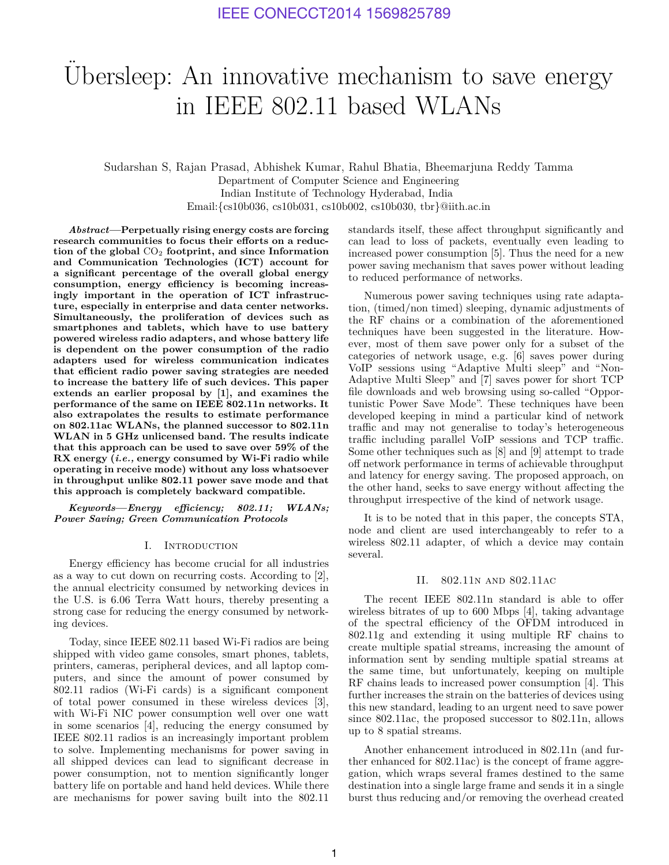# Ubersleep: An innovative mechanism to save energy in IEEE 802.11 based WLANs

Sudarshan S, Rajan Prasad, Abhishek Kumar, Rahul Bhatia, Bheemarjuna Reddy Tamma Department of Computer Science and Engineering Indian Institute of Technology Hyderabad, India Email:{cs10b036, cs10b031, cs10b002, cs10b030, tbr}@iith.ac.in

*Abstract***—Perpetually rising energy costs are forcing research communities to focus their efforts on a reduction of the global** CO<sup>2</sup> **footprint, and since Information and Communication Technologies (ICT) account for a significant percentage of the overall global energy consumption, energy efficiency is becoming increasingly important in the operation of ICT infrastructure, especially in enterprise and data center networks. Simultaneously, the proliferation of devices such as smartphones and tablets, which have to use battery powered wireless radio adapters, and whose battery life is dependent on the power consumption of the radio adapters used for wireless communication indicates that efficient radio power saving strategies are needed to increase the battery life of such devices. This paper extends an earlier proposal by [1], and examines the performance of the same on IEEE 802.11n networks. It also extrapolates the results to estimate performance on 802.11ac WLANs, the planned successor to 802.11n WLAN in 5 GHz unlicensed band. The results indicate that this approach can be used to save over 59% of the RX energy (***i.e.,* **energy consumed by Wi-Fi radio while operating in receive mode) without any loss whatsoever in throughput unlike 802.11 power save mode and that this approach is completely backward compatible.**

*Keywords***—***Energy efficiency; 802.11; WLANs; Power Saving; Green Communication Protocols*

## I. Introduction

Energy efficiency has become crucial for all industries as a way to cut down on recurring costs. According to [2], the annual electricity consumed by networking devices in the U.S. is 6.06 Terra Watt hours, thereby presenting a strong case for reducing the energy consumed by networking devices.

Today, since IEEE 802.11 based Wi-Fi radios are being shipped with video game consoles, smart phones, tablets, printers, cameras, peripheral devices, and all laptop computers, and since the amount of power consumed by 802.11 radios (Wi-Fi cards) is a significant component of total power consumed in these wireless devices [3], with Wi-Fi NIC power consumption well over one watt in some scenarios [4], reducing the energy consumed by IEEE 802.11 radios is an increasingly important problem to solve. Implementing mechanisms for power saving in all shipped devices can lead to significant decrease in power consumption, not to mention significantly longer battery life on portable and hand held devices. While there are mechanisms for power saving built into the 802.11

standards itself, these affect throughput significantly and can lead to loss of packets, eventually even leading to increased power consumption [5]. Thus the need for a new power saving mechanism that saves power without leading to reduced performance of networks.

Numerous power saving techniques using rate adaptation, (timed/non timed) sleeping, dynamic adjustments of the RF chains or a combination of the aforementioned techniques have been suggested in the literature. However, most of them save power only for a subset of the categories of network usage, e.g. [6] saves power during VoIP sessions using "Adaptive Multi sleep" and "Non-Adaptive Multi Sleep" and [7] saves power for short TCP file downloads and web browsing using so-called "Opportunistic Power Save Mode". These techniques have been developed keeping in mind a particular kind of network traffic and may not generalise to today's heterogeneous traffic including parallel VoIP sessions and TCP traffic. Some other techniques such as [8] and [9] attempt to trade off network performance in terms of achievable throughput and latency for energy saving. The proposed approach, on the other hand, seeks to save energy without affecting the throughput irrespective of the kind of network usage.

It is to be noted that in this paper, the concepts STA, node and client are used interchangeably to refer to a wireless 802.11 adapter, of which a device may contain several.

#### II. 802.11n and 802.11ac

The recent IEEE 802.11n standard is able to offer wireless bitrates of up to 600 Mbps [4], taking advantage of the spectral efficiency of the OFDM introduced in 802.11g and extending it using multiple RF chains to create multiple spatial streams, increasing the amount of information sent by sending multiple spatial streams at the same time, but unfortunately, keeping on multiple RF chains leads to increased power consumption [4]. This further increases the strain on the batteries of devices using this new standard, leading to an urgent need to save power since 802.11ac, the proposed successor to 802.11n, allows up to 8 spatial streams.

Another enhancement introduced in 802.11n (and further enhanced for 802.11ac) is the concept of frame aggregation, which wraps several frames destined to the same destination into a single large frame and sends it in a single burst thus reducing and/or removing the overhead created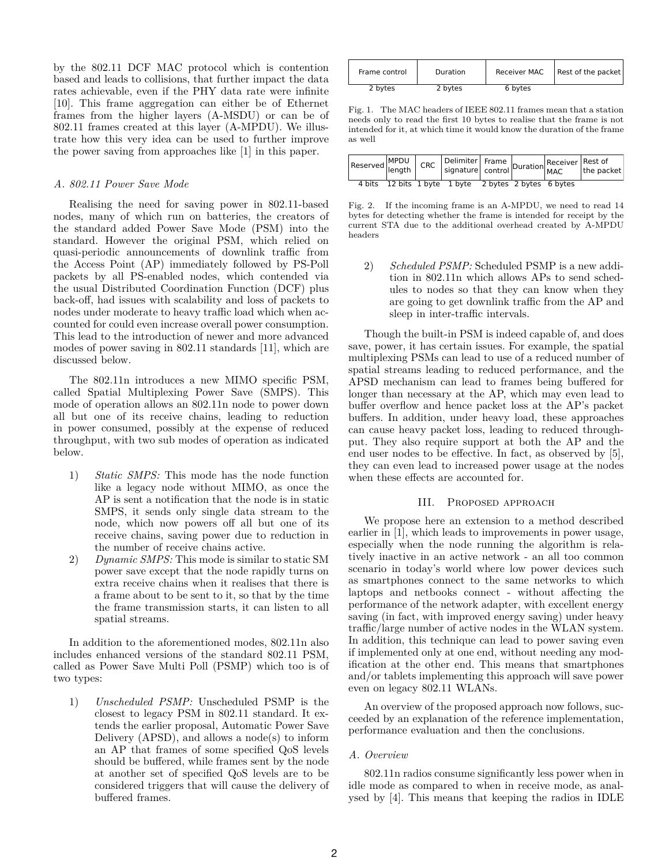by the 802.11 DCF MAC protocol which is contention based and leads to collisions, that further impact the data rates achievable, even if the PHY data rate were infinite [10]. This frame aggregation can either be of Ethernet frames from the higher layers (A-MSDU) or can be of 802.11 frames created at this layer (A-MPDU). We illustrate how this very idea can be used to further improve the power saving from approaches like [1] in this paper.

#### *A. 802.11 Power Save Mode*

Realising the need for saving power in 802.11-based nodes, many of which run on batteries, the creators of the standard added Power Save Mode (PSM) into the standard. However the original PSM, which relied on quasi-periodic announcements of downlink traffic from the Access Point (AP) immediately followed by PS-Poll packets by all PS-enabled nodes, which contended via the usual Distributed Coordination Function (DCF) plus back-off, had issues with scalability and loss of packets to nodes under moderate to heavy traffic load which when accounted for could even increase overall power consumption. This lead to the introduction of newer and more advanced modes of power saving in 802.11 standards [11], which are discussed below.

The 802.11n introduces a new MIMO specific PSM, called Spatial Multiplexing Power Save (SMPS). This mode of operation allows an 802.11n node to power down all but one of its receive chains, leading to reduction in power consumed, possibly at the expense of reduced throughput, with two sub modes of operation as indicated below.

- 1) *Static SMPS:* This mode has the node function like a legacy node without MIMO, as once the AP is sent a notification that the node is in static SMPS, it sends only single data stream to the node, which now powers off all but one of its receive chains, saving power due to reduction in the number of receive chains active.
- 2) *Dynamic SMPS:* This mode is similar to static SM power save except that the node rapidly turns on extra receive chains when it realises that there is a frame about to be sent to it, so that by the time the frame transmission starts, it can listen to all spatial streams.

In addition to the aforementioned modes, 802.11n also includes enhanced versions of the standard 802.11 PSM, called as Power Save Multi Poll (PSMP) which too is of two types:

1) *Unscheduled PSMP:* Unscheduled PSMP is the closest to legacy PSM in 802.11 standard. It extends the earlier proposal, Automatic Power Save Delivery  $(APSD)$ , and allows a node(s) to inform an AP that frames of some specified QoS levels should be buffered, while frames sent by the node at another set of specified QoS levels are to be considered triggers that will cause the delivery of buffered frames.

| Frame control | Duration | Receiver MAC | Rest of the packet |
|---------------|----------|--------------|--------------------|
| 2 bytes       | 2 bytes  | 6 bytes      |                    |

Fig. 1. The MAC headers of IEEE 802.11 frames mean that a station needs only to read the first 10 bytes to realise that the frame is not intended for it, at which time it would know the duration of the frame as well

|  |  | 4 bits 12 bits 1 byte 1 byte 2 bytes 2 bytes 6 bytes |  |  |
|--|--|------------------------------------------------------|--|--|

Fig. 2. If the incoming frame is an A-MPDU, we need to read 14 bytes for detecting whether the frame is intended for receipt by the current STA due to the additional overhead created by A-MPDU headers

2) *Scheduled PSMP:* Scheduled PSMP is a new addition in 802.11n which allows APs to send schedules to nodes so that they can know when they are going to get downlink traffic from the AP and sleep in inter-traffic intervals.

Though the built-in PSM is indeed capable of, and does save, power, it has certain issues. For example, the spatial multiplexing PSMs can lead to use of a reduced number of spatial streams leading to reduced performance, and the APSD mechanism can lead to frames being buffered for longer than necessary at the AP, which may even lead to buffer overflow and hence packet loss at the AP's packet buffers. In addition, under heavy load, these approaches can cause heavy packet loss, leading to reduced throughput. They also require support at both the AP and the end user nodes to be effective. In fact, as observed by [5], they can even lead to increased power usage at the nodes when these effects are accounted for.

#### III. Proposed approach

We propose here an extension to a method described earlier in [1], which leads to improvements in power usage, especially when the node running the algorithm is relatively inactive in an active network - an all too common scenario in today's world where low power devices such as smartphones connect to the same networks to which laptops and netbooks connect - without affecting the performance of the network adapter, with excellent energy saving (in fact, with improved energy saving) under heavy traffic/large number of active nodes in the WLAN system. In addition, this technique can lead to power saving even if implemented only at one end, without needing any modification at the other end. This means that smartphones and/or tablets implementing this approach will save power even on legacy 802.11 WLANs.

An overview of the proposed approach now follows, succeeded by an explanation of the reference implementation, performance evaluation and then the conclusions.

## *A. Overview*

802.11n radios consume significantly less power when in idle mode as compared to when in receive mode, as analysed by [4]. This means that keeping the radios in IDLE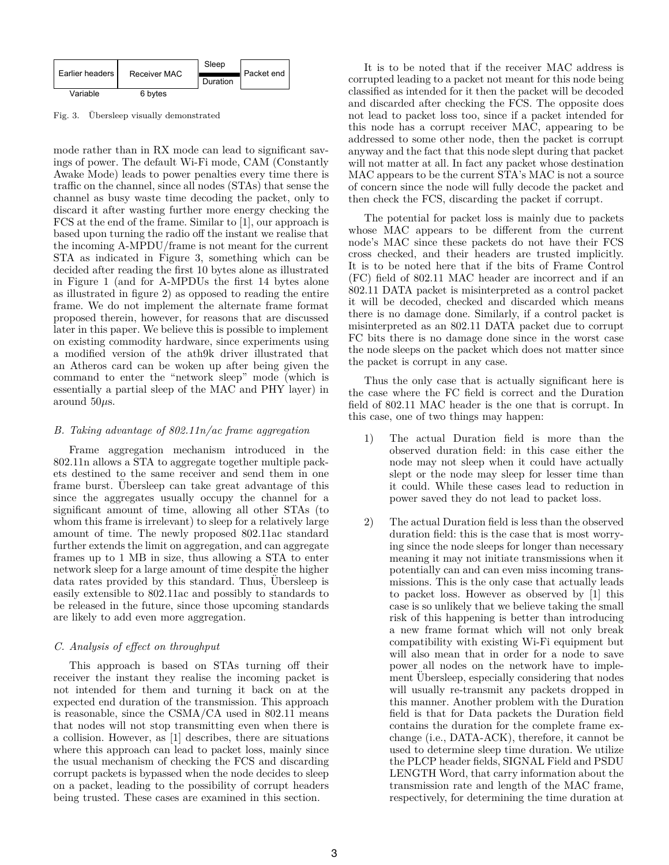|                   |              | Sleep    |            |
|-------------------|--------------|----------|------------|
| Earlier headers I | Receiver MAC | Duration | Packet end |
| Variable          | 6 bytes      |          |            |

Fig. 3. Übersleep visually demonstrated

mode rather than in RX mode can lead to significant savings of power. The default Wi-Fi mode, CAM (Constantly Awake Mode) leads to power penalties every time there is traffic on the channel, since all nodes (STAs) that sense the channel as busy waste time decoding the packet, only to discard it after wasting further more energy checking the FCS at the end of the frame. Similar to [1], our approach is based upon turning the radio off the instant we realise that the incoming A-MPDU/frame is not meant for the current STA as indicated in Figure 3, something which can be decided after reading the first 10 bytes alone as illustrated in Figure 1 (and for A-MPDUs the first 14 bytes alone as illustrated in figure 2) as opposed to reading the entire frame. We do not implement the alternate frame format proposed therein, however, for reasons that are discussed later in this paper. We believe this is possible to implement on existing commodity hardware, since experiments using a modified version of the ath9k driver illustrated that an Atheros card can be woken up after being given the command to enter the "network sleep" mode (which is essentially a partial sleep of the MAC and PHY layer) in around 50*µ*s.

## *B. Taking advantage of 802.11n/ac frame aggregation*

Frame aggregation mechanism introduced in the 802.11n allows a STA to aggregate together multiple packets destined to the same receiver and send them in one frame burst. Ubersleep can take great advantage of this since the aggregates usually occupy the channel for a significant amount of time, allowing all other STAs (to whom this frame is irrelevant) to sleep for a relatively large amount of time. The newly proposed 802.11ac standard further extends the limit on aggregation, and can aggregate frames up to 1 MB in size, thus allowing a STA to enter network sleep for a large amount of time despite the higher data rates provided by this standard. Thus, Ubersleep is easily extensible to 802.11ac and possibly to standards to be released in the future, since those upcoming standards are likely to add even more aggregation.

## *C. Analysis of effect on throughput*

This approach is based on STAs turning off their receiver the instant they realise the incoming packet is not intended for them and turning it back on at the expected end duration of the transmission. This approach is reasonable, since the CSMA/CA used in 802.11 means that nodes will not stop transmitting even when there is a collision. However, as [1] describes, there are situations where this approach can lead to packet loss, mainly since the usual mechanism of checking the FCS and discarding corrupt packets is bypassed when the node decides to sleep on a packet, leading to the possibility of corrupt headers being trusted. These cases are examined in this section.

It is to be noted that if the receiver MAC address is corrupted leading to a packet not meant for this node being classified as intended for it then the packet will be decoded and discarded after checking the FCS. The opposite does not lead to packet loss too, since if a packet intended for this node has a corrupt receiver MAC, appearing to be addressed to some other node, then the packet is corrupt anyway and the fact that this node slept during that packet will not matter at all. In fact any packet whose destination MAC appears to be the current STA's MAC is not a source of concern since the node will fully decode the packet and then check the FCS, discarding the packet if corrupt.

The potential for packet loss is mainly due to packets whose MAC appears to be different from the current node's MAC since these packets do not have their FCS cross checked, and their headers are trusted implicitly. It is to be noted here that if the bits of Frame Control (FC) field of 802.11 MAC header are incorrect and if an 802.11 DATA packet is misinterpreted as a control packet it will be decoded, checked and discarded which means there is no damage done. Similarly, if a control packet is misinterpreted as an 802.11 DATA packet due to corrupt FC bits there is no damage done since in the worst case the node sleeps on the packet which does not matter since the packet is corrupt in any case.

Thus the only case that is actually significant here is the case where the FC field is correct and the Duration field of 802.11 MAC header is the one that is corrupt. In this case, one of two things may happen:

- 1) The actual Duration field is more than the observed duration field: in this case either the node may not sleep when it could have actually slept or the node may sleep for lesser time than it could. While these cases lead to reduction in power saved they do not lead to packet loss.
- 2) The actual Duration field is less than the observed duration field: this is the case that is most worrying since the node sleeps for longer than necessary meaning it may not initiate transmissions when it potentially can and can even miss incoming transmissions. This is the only case that actually leads to packet loss. However as observed by [1] this case is so unlikely that we believe taking the small risk of this happening is better than introducing a new frame format which will not only break compatibility with existing Wi-Fi equipment but will also mean that in order for a node to save power all nodes on the network have to implement Ubersleep, especially considering that nodes will usually re-transmit any packets dropped in this manner. Another problem with the Duration field is that for Data packets the Duration field contains the duration for the complete frame exchange (i.e., DATA-ACK), therefore, it cannot be used to determine sleep time duration. We utilize the PLCP header fields, SIGNAL Field and PSDU LENGTH Word, that carry information about the transmission rate and length of the MAC frame, respectively, for determining the time duration at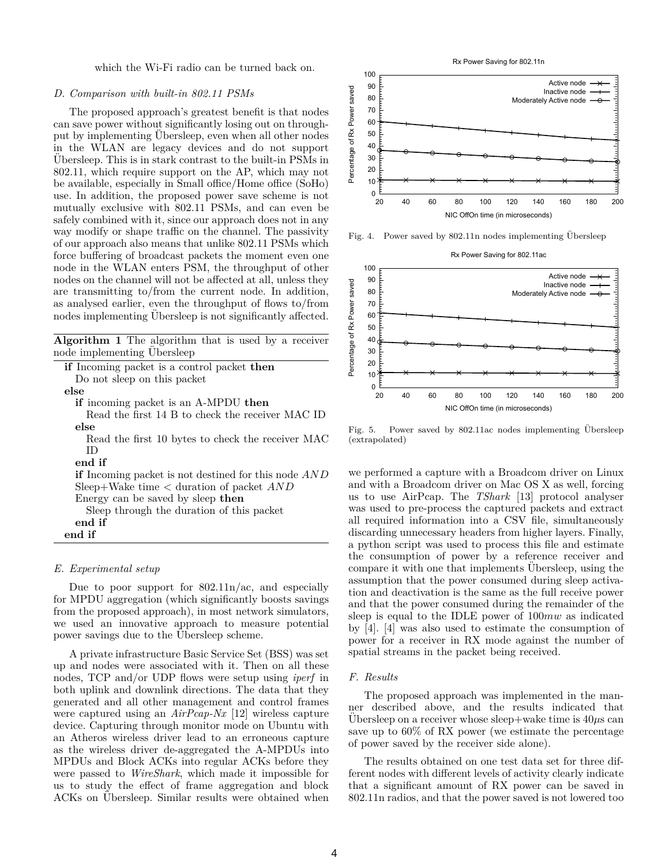which the Wi-Fi radio can be turned back on.

## *D. Comparison with built-in 802.11 PSMs*

The proposed approach's greatest benefit is that nodes can save power without significantly losing out on throughput by implementing Ubersleep, even when all other nodes in the WLAN are legacy devices and do not support Ubersleep. This is in stark contrast to the built-in PSMs in ¨ 802.11, which require support on the AP, which may not be available, especially in Small office/Home office (SoHo) use. In addition, the proposed power save scheme is not mutually exclusive with 802.11 PSMs, and can even be safely combined with it, since our approach does not in any way modify or shape traffic on the channel. The passivity of our approach also means that unlike 802.11 PSMs which force buffering of broadcast packets the moment even one node in the WLAN enters PSM, the throughput of other nodes on the channel will not be affected at all, unless they are transmitting to/from the current node. In addition, as analysed earlier, even the throughput of flows to/from nodes implementing Ubersleep is not significantly affected.

**Algorithm 1** The algorithm that is used by a receiver node implementing Ubersleep

| <b>if</b> Incoming packet is a control packet <b>then</b>   |
|-------------------------------------------------------------|
| Do not sleep on this packet                                 |
| else                                                        |
| <b>if</b> incoming packet is an A-MPDU then                 |
| Read the first 14 B to check the receiver MAC ID            |
| else                                                        |
| Read the first 10 bytes to check the receiver MAC           |
| ΙD                                                          |
| end if                                                      |
| <b>if</b> Incoming packet is not destined for this node AND |
| Sleep+Wake time $\lt$ duration of packet $AND$              |
| Energy can be saved by sleep then                           |
| Sleep through the duration of this packet                   |
| end if                                                      |
| end if                                                      |
|                                                             |

#### *E. Experimental setup*

Due to poor support for  $802.11n/ac$ , and especially for MPDU aggregation (which significantly boosts savings from the proposed approach), in most network simulators, we used an innovative approach to measure potential power savings due to the Ubersleep scheme.

A private infrastructure Basic Service Set (BSS) was set up and nodes were associated with it. Then on all these nodes, TCP and/or UDP flows were setup using *iperf* in both uplink and downlink directions. The data that they generated and all other management and control frames were captured using an *AirPcap-Nx* [12] wireless capture device. Capturing through monitor mode on Ubuntu with an Atheros wireless driver lead to an erroneous capture as the wireless driver de-aggregated the A-MPDUs into MPDUs and Block ACKs into regular ACKs before they were passed to *WireShark*, which made it impossible for us to study the effect of frame aggregation and block ACKs on Ubersleep. Similar results were obtained when



Fig. 4. Power saved by  $802.11n$  nodes implementing Übersleep



Fig. 5. Power saved by  $802.11$ ac nodes implementing Übersleep (extrapolated)

we performed a capture with a Broadcom driver on Linux and with a Broadcom driver on Mac OS X as well, forcing us to use AirPcap. The *TShark* [13] protocol analyser was used to pre-process the captured packets and extract all required information into a CSV file, simultaneously discarding unnecessary headers from higher layers. Finally, a python script was used to process this file and estimate the consumption of power by a reference receiver and compare it with one that implements Ubersleep, using the assumption that the power consumed during sleep activation and deactivation is the same as the full receive power and that the power consumed during the remainder of the sleep is equal to the IDLE power of 100*mw* as indicated by [4]. [4] was also used to estimate the consumption of power for a receiver in RX mode against the number of spatial streams in the packet being received.

## *F. Results*

The proposed approach was implemented in the manner described above, and the results indicated that Ubersleep on a receiver whose sleep+wake time is  $40 \mu s$  can save up to 60% of RX power (we estimate the percentage of power saved by the receiver side alone).

The results obtained on one test data set for three different nodes with different levels of activity clearly indicate that a significant amount of RX power can be saved in 802.11n radios, and that the power saved is not lowered too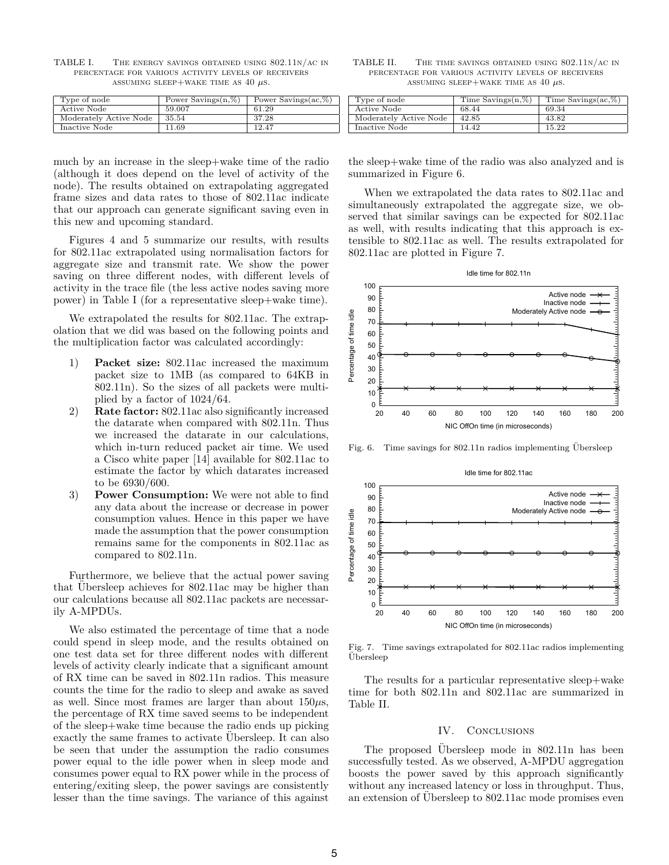| Type of node           | Power Savings $(n, \%)$ | Power Savings $(ac, %)$ |
|------------------------|-------------------------|-------------------------|
| Active Node            | 59.007                  | 61.29                   |
| Moderately Active Node | 35.54                   | 37.28                   |
| Inactive Node          | 11.69                   | 12.47                   |

TABLE I. The energy savings obtained using 802.11n/ac in percentage for various activity levels of receivers ASSUMING SLEEP+WAKE TIME AS  $40 \mu s$ .

TABLE II. The time savings obtained using 802.11n/ac in percentage for various activity levels of receivers ASSUMING SLEEP+WAKE TIME AS  $40 \mu s$ .

| Type of node           | Time Savings $(n, \%)$ | Time Savings $(ac, %$ |  |
|------------------------|------------------------|-----------------------|--|
| Active Node            | 68.44                  | 69.34                 |  |
| Moderately Active Node | 42.85                  | 43.82                 |  |
| Inactive Node          | 14.42                  | 15.22                 |  |

much by an increase in the sleep+wake time of the radio (although it does depend on the level of activity of the node). The results obtained on extrapolating aggregated frame sizes and data rates to those of 802.11ac indicate that our approach can generate significant saving even in this new and upcoming standard.

Figures 4 and 5 summarize our results, with results for 802.11ac extrapolated using normalisation factors for aggregate size and transmit rate. We show the power saving on three different nodes, with different levels of activity in the trace file (the less active nodes saving more power) in Table I (for a representative sleep+wake time).

We extrapolated the results for 802.11ac. The extrapolation that we did was based on the following points and the multiplication factor was calculated accordingly:

- 1) **Packet size:** 802.11ac increased the maximum packet size to 1MB (as compared to 64KB in 802.11n). So the sizes of all packets were multiplied by a factor of 1024/64.
- 2) **Rate factor:** 802.11ac also significantly increased the datarate when compared with 802.11n. Thus we increased the datarate in our calculations, which in-turn reduced packet air time. We used a Cisco white paper [14] available for 802.11ac to estimate the factor by which datarates increased to be 6930/600.
- 3) **Power Consumption:** We were not able to find any data about the increase or decrease in power consumption values. Hence in this paper we have made the assumption that the power consumption remains same for the components in 802.11ac as compared to 802.11n.

Furthermore, we believe that the actual power saving that Ubersleep achieves for 802.11ac may be higher than our calculations because all 802.11ac packets are necessarily A-MPDUs.

We also estimated the percentage of time that a node could spend in sleep mode, and the results obtained on one test data set for three different nodes with different levels of activity clearly indicate that a significant amount of RX time can be saved in 802.11n radios. This measure counts the time for the radio to sleep and awake as saved as well. Since most frames are larger than about 150*µ*s, the percentage of RX time saved seems to be independent of the sleep+wake time because the radio ends up picking exactly the same frames to activate Ubersleep. It can also be seen that under the assumption the radio consumes power equal to the idle power when in sleep mode and consumes power equal to RX power while in the process of entering/exiting sleep, the power savings are consistently lesser than the time savings. The variance of this against

the sleep+wake time of the radio was also analyzed and is summarized in Figure 6.

When we extrapolated the data rates to 802.11ac and simultaneously extrapolated the aggregate size, we observed that similar savings can be expected for 802.11ac as well, with results indicating that this approach is extensible to 802.11ac as well. The results extrapolated for 802.11ac are plotted in Figure 7.



Fig. 6. Time savings for  $802.11n$  radios implementing Übersleep



Fig. 7. Time savings extrapolated for 802.11ac radios implementing Ubersleep ¨

The results for a particular representative sleep+wake time for both 802.11n and 802.11ac are summarized in Table II.

#### IV. CONCLUSIONS

The proposed Ubersleep mode in  $802.11n$  has been successfully tested. As we observed, A-MPDU aggregation boosts the power saved by this approach significantly without any increased latency or loss in throughput. Thus, an extension of Ubersleep to 802.11ac mode promises even